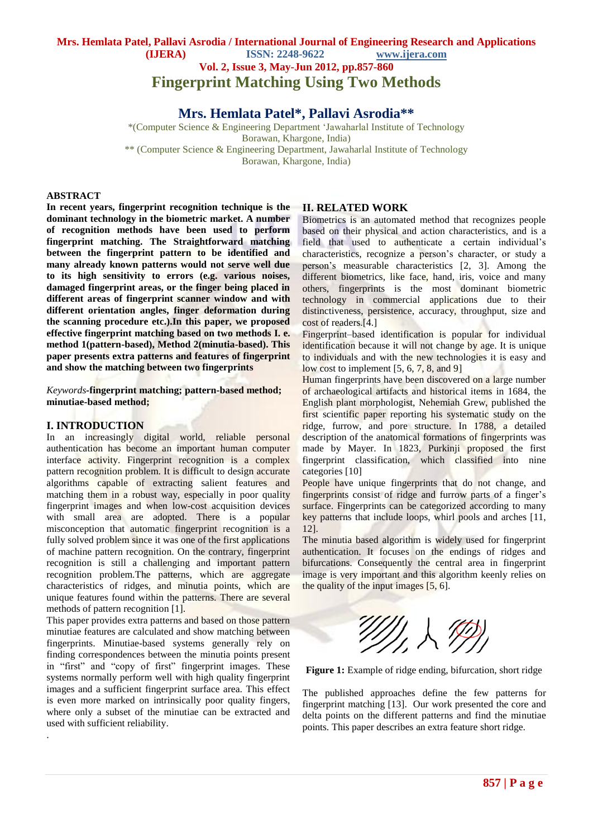## **Mrs. Hemlata Patel, Pallavi Asrodia / International Journal of Engineering Research and Applications (IJERA) ISSN: 2248-9622 www.ijera.com Vol. 2, Issue 3, May-Jun 2012, pp.857-860 Fingerprint Matching Using Two Methods**

**Mrs. Hemlata Patel\*, Pallavi Asrodia\*\***

\*(Computer Science & Engineering Department "Jawaharlal Institute of Technology Borawan, Khargone, India) \*\* (Computer Science & Engineering Department, Jawaharlal Institute of Technology Borawan, Khargone, India)

#### **ABSTRACT**

**In recent years, fingerprint recognition technique is the dominant technology in the biometric market. A number of recognition methods have been used to perform fingerprint matching. The Straightforward matching between the fingerprint pattern to be identified and many already known patterns would not serve well due to its high sensitivity to errors (e.g. various noises, damaged fingerprint areas, or the finger being placed in different areas of fingerprint scanner window and with different orientation angles, finger deformation during the scanning procedure etc.).In this paper, we proposed effective fingerprint matching based on two methods I. e. method 1(pattern-based), Method 2(minutia-based). This paper presents extra patterns and features of fingerprint and show the matching between two fingerprints**

*Keywords-***fingerprint matching; pattern-based method; minutiae-based method;**

## **I. INTRODUCTION**

.

In an increasingly digital world, reliable personal authentication has become an important human computer interface activity. Fingerprint recognition is a complex pattern recognition problem. It is difficult to design accurate algorithms capable of extracting salient features and matching them in a robust way, especially in poor quality fingerprint images and when low-cost acquisition devices with small area are adopted. There is a popular misconception that automatic fingerprint recognition is a fully solved problem since it was one of the first applications of machine pattern recognition. On the contrary, fingerprint recognition is still a challenging and important pattern recognition problem.The patterns, which are aggregate characteristics of ridges, and minutia points, which are unique features found within the patterns. There are several methods of pattern recognition [1].

This paper provides extra patterns and based on those pattern minutiae features are calculated and show matching between fingerprints. Minutiae-based systems generally rely on finding correspondences between the minutia points present in "first" and "copy of first" fingerprint images. These systems normally perform well with high quality fingerprint images and a sufficient fingerprint surface area. This effect is even more marked on intrinsically poor quality fingers, where only a subset of the minutiae can be extracted and used with sufficient reliability.

#### **II. RELATED WORK**

Biometrics is an automated method that recognizes people based on their physical and action characteristics, and is a field that used to authenticate a certain individual"s characteristics, recognize a person"s character, or study a person"s measurable characteristics [2, 3]. Among the different biometrics, like face, hand, iris, voice and many others, fingerprints is the most dominant biometric technology in commercial applications due to their distinctiveness, persistence, accuracy, throughput, size and cost of readers.[4.]

Fingerprint–based identification is popular for individual identification because it will not change by age. It is unique to individuals and with the new technologies it is easy and low cost to implement [5, 6, 7, 8, and 9]

Human fingerprints have been discovered on a large number of archaeological artifacts and historical items in 1684, the English plant morphologist, Nehemiah Grew, published the first scientific paper reporting his systematic study on the ridge, furrow, and pore structure. In 1788, a detailed description of the anatomical formations of fingerprints was made by Mayer. In 1823, Purkinji proposed the first fingerprint classification, which classified into nine categories [10]

People have unique fingerprints that do not change, and fingerprints consist of ridge and furrow parts of a finger"s surface. Fingerprints can be categorized according to many key patterns that include loops, whirl pools and arches [11, 12].

The minutia based algorithm is widely used for fingerprint authentication. It focuses on the endings of ridges and bifurcations. Consequently the central area in fingerprint image is very important and this algorithm keenly relies on the quality of the input images [5, 6].



Figure 1: Example of ridge ending, bifurcation, short ridge

The published approaches define the few patterns for fingerprint matching [13]. Our work presented the core and delta points on the different patterns and find the minutiae points. This paper describes an extra feature short ridge.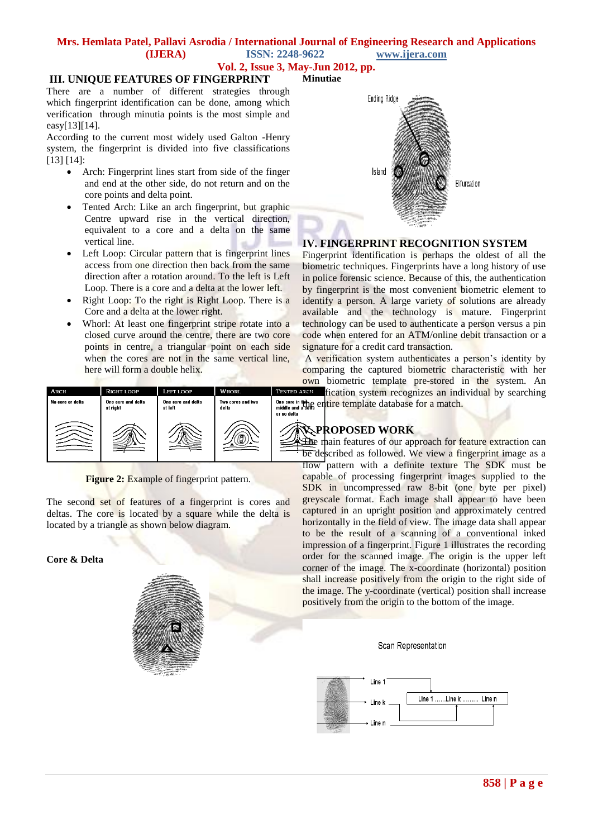#### **Mrs. Hemlata Patel, Pallavi Asrodia / International Journal of Engineering Research and Applications (IJERA) ISSN: 2248-9622 www.ijera.com**

**Vol. 2, Issue 3, May-Jun 2012, pp.**

## **III. UNIQUE FEATURES OF FINGERPRINT**

There are a number of different strategies through which fingerprint identification can be done, among which verification through minutia points is the most simple and easy[13][14].

According to the current most widely used Galton -Henry system, the fingerprint is divided into five classifications [13] [14]:

- Arch: Fingerprint lines start from side of the finger and end at the other side, do not return and on the core points and delta point.
- Tented Arch: Like an arch fingerprint, but graphic Centre upward rise in the vertical direction, equivalent to a core and a delta on the same vertical line.
- Left Loop: Circular pattern that is fingerprint lines access from one direction then back from the same direction after a rotation around. To the left is Left Loop. There is a core and a delta at the lower left.
- Right Loop: To the right is Right Loop. There is a Core and a delta at the lower right.
- Whorl: At least one fingerprint stripe rotate into a closed curve around the centre, there are two core points in centre, a triangular point on each side when the cores are not in the same vertical line, here will form a double helix.



**Figure 2:** Example of fingerprint pattern.

The second set of features of a fingerprint is cores and deltas. The core is located by a square while the delta is located by a triangle as shown below diagram.

## **Core & Delta**





## **IV. FINGERPRINT RECOGNITION SYSTEM**

Fingerprint identification is perhaps the oldest of all the biometric techniques. Fingerprints have a long history of use in police forensic science. Because of this, the authentication by fingerprint is the most convenient biometric element to identify a person. A large variety of solutions are already available and the technology is mature. Fingerprint technology can be used to authenticate a person versus a pin code when entered for an ATM/online debit transaction or a signature for a credit card transaction.

A verification system authenticates a person"s identity by comparing the captured biometric characteristic with her own biometric template pre-stored in the system. An **EXCEP** fication system recognizes an individual by searching

One core in the experiment of the entire template database for a match.

## **V. PROPOSED WORK**

The main features of our approach for feature extraction can be described as followed. We view a fingerprint image as a flow pattern with a definite texture The SDK must be capable of processing fingerprint images supplied to the SDK in uncompressed raw 8-bit (one byte per pixel) greyscale format. Each image shall appear to have been captured in an upright position and approximately centred horizontally in the field of view. The image data shall appear to be the result of a scanning of a conventional inked impression of a fingerprint. Figure 1 illustrates the recording order for the scanned image. The origin is the upper left corner of the image. The x-coordinate (horizontal) position shall increase positively from the origin to the right side of the image. The y-coordinate (vertical) position shall increase positively from the origin to the bottom of the image.

#### Scan Representation

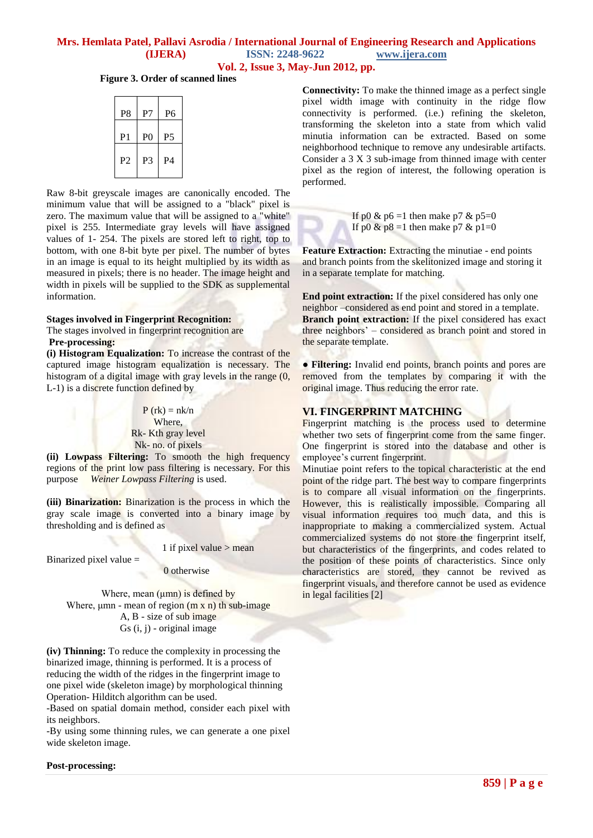## **Mrs. Hemlata Patel, Pallavi Asrodia / International Journal of Engineering Research and Applications (IJERA) ISSN: 2248-9622 www.ijera.com Vol. 2, Issue 3, May-Jun 2012, pp.**

**Figure 3. Order of scanned lines**

| P <sub>8</sub> | P7             | P6             |
|----------------|----------------|----------------|
| P1             | P <sub>0</sub> | P <sub>5</sub> |
| P <sub>2</sub> | P <sub>3</sub> | P4             |
|                |                |                |

Raw 8-bit greyscale images are canonically encoded. The minimum value that will be assigned to a "black" pixel is zero. The maximum value that will be assigned to a "white" pixel is 255. Intermediate gray levels will have assigned values of 1- 254. The pixels are stored left to right, top to bottom, with one 8-bit byte per pixel. The number of bytes in an image is equal to its height multiplied by its width as measured in pixels; there is no header. The image height and width in pixels will be supplied to the SDK as supplemental information.

#### **Stages involved in Fingerprint Recognition:**

The stages involved in fingerprint recognition are

#### **Pre-processing:**

**(i) Histogram Equalization:** To increase the contrast of the captured image histogram equalization is necessary. The histogram of a digital image with gray levels in the range  $(0, 0)$ L-1) is a discrete function defined by

> $P$  (rk) = nk/n Where, Rk- Kth gray level Nk- no. of pixels

**(ii) Lowpass Filtering:** To smooth the high frequency regions of the print low pass filtering is necessary. For this purpose *Weiner Lowpass Filtering* is used.

**(iii) Binarization:** Binarization is the process in which the gray scale image is converted into a binary image by thresholding and is defined as

1 if pixel value > mean

Binarized pixel value =

0 otherwise

Where, mean (μmn) is defined by Where,  $\mu$ mn - mean of region  $(m \times n)$  th sub-image A, B - size of sub image Gs (i, j) - original image

**(iv) Thinning:** To reduce the complexity in processing the binarized image, thinning is performed. It is a process of reducing the width of the ridges in the fingerprint image to one pixel wide (skeleton image) by morphological thinning Operation- Hilditch algorithm can be used.

-Based on spatial domain method, consider each pixel with its neighbors.

-By using some thinning rules, we can generate a one pixel wide skeleton image.

**Connectivity:** To make the thinned image as a perfect single pixel width image with continuity in the ridge flow connectivity is performed. (i.e.) refining the skeleton, transforming the skeleton into a state from which valid minutia information can be extracted. Based on some neighborhood technique to remove any undesirable artifacts. Consider a 3 X 3 sub-image from thinned image with center pixel as the region of interest, the following operation is performed.



If p0 & p6 =1 then make p7 & p5=0 If p0 & p8 =1 then make p7 & p1=0

**Feature Extraction:** Extracting the minutiae - end points and branch points from the skelitonized image and storing it in a separate template for matching.

**End point extraction:** If the pixel considered has only one neighbor –considered as end point and stored in a template. **Branch point extraction:** If the pixel considered has exact three neighbors" – considered as branch point and stored in the separate template.

● **Filtering:** Invalid end points, branch points and pores are removed from the templates by comparing it with the original image. Thus reducing the error rate.

## **VI. FINGERPRINT MATCHING**

Fingerprint matching is the process used to determine whether two sets of fingerprint come from the same finger. One fingerprint is stored into the database and other is employee"s current fingerprint.

Minutiae point refers to the topical characteristic at the end point of the ridge part. The best way to compare fingerprints is to compare all visual information on the fingerprints. However, this is realistically impossible. Comparing all visual information requires too much data, and this is inappropriate to making a commercialized system. Actual commercialized systems do not store the fingerprint itself, but characteristics of the fingerprints, and codes related to the position of these points of characteristics. Since only characteristics are stored, they cannot be revived as fingerprint visuals, and therefore cannot be used as evidence in legal facilities [2]

**Post-processing:**